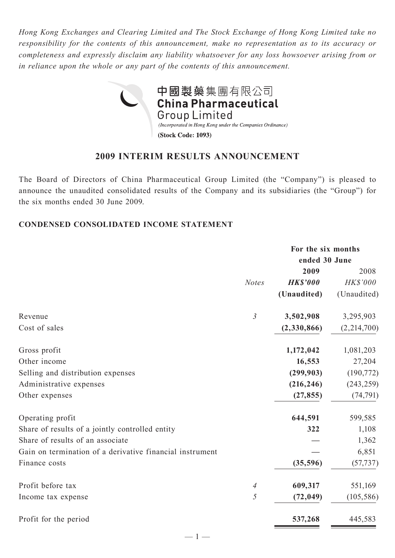*Hong Kong Exchanges and Clearing Limited and The Stock Exchange of Hong Kong Limited take no responsibility for the contents of this announcement, make no representation as to its accuracy or completeness and expressly disclaim any liability whatsoever for any loss howsoever arising from or in reliance upon the whole or any part of the contents of this announcement.*



# **2009 INTERIM RESULTS ANNOUNCEMENT**

The Board of Directors of China Pharmaceutical Group Limited (the "Company") is pleased to announce the unaudited consolidated results of the Company and its subsidiaries (the "Group") for the six months ended 30 June 2009.

## **CONDENSED CONSOLIDATED INCOME STATEMENT**

|                                                          | For the six months |               |  |  |
|----------------------------------------------------------|--------------------|---------------|--|--|
|                                                          |                    | ended 30 June |  |  |
|                                                          | 2009               | 2008          |  |  |
| <b>Notes</b>                                             | <b>HK\$'000</b>    | HK\$'000      |  |  |
|                                                          | (Unaudited)        | (Unaudited)   |  |  |
| $\mathfrak{Z}$<br>Revenue                                | 3,502,908          | 3,295,903     |  |  |
| Cost of sales                                            | (2,330,866)        | (2,214,700)   |  |  |
| Gross profit                                             | 1,172,042          | 1,081,203     |  |  |
| Other income                                             | 16,553             | 27,204        |  |  |
| Selling and distribution expenses                        | (299, 903)         | (190, 772)    |  |  |
| Administrative expenses                                  | (216, 246)         | (243, 259)    |  |  |
| Other expenses                                           | (27, 855)          | (74, 791)     |  |  |
| Operating profit                                         | 644,591            | 599,585       |  |  |
| Share of results of a jointly controlled entity          | 322                | 1,108         |  |  |
| Share of results of an associate                         |                    | 1,362         |  |  |
| Gain on termination of a derivative financial instrument |                    | 6,851         |  |  |
| Finance costs                                            | (35, 596)          | (57, 737)     |  |  |
| Profit before tax<br>4                                   | 609,317            | 551,169       |  |  |
| 5<br>Income tax expense                                  | (72, 049)          | (105, 586)    |  |  |
| Profit for the period                                    | 537,268            | 445,583       |  |  |

 $-1-$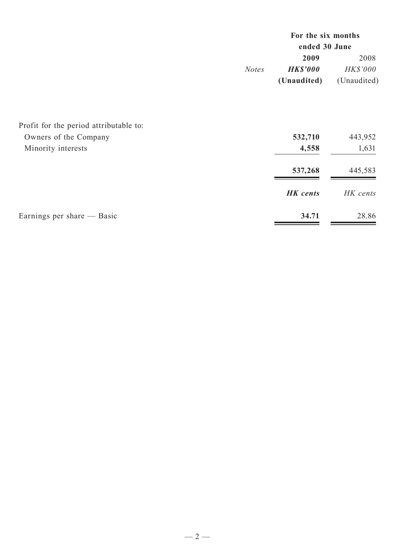|              | For the six months |                 |  |  |
|--------------|--------------------|-----------------|--|--|
|              | ended 30 June      |                 |  |  |
|              | 2009               | 2008            |  |  |
| <b>Notes</b> | <b>HK\$'000</b>    | <b>HK\$'000</b> |  |  |
|              | (Unaudited)        | (Unaudited)     |  |  |

| Profit for the period attributable to: |                 |          |
|----------------------------------------|-----------------|----------|
| Owners of the Company                  | 532,710         | 443,952  |
| Minority interests                     | 4,558           | 1,631    |
|                                        | 537,268         | 445,583  |
|                                        | <b>HK</b> cents | HK cents |
| Earnings per share — Basic             | 34.71           | 28.86    |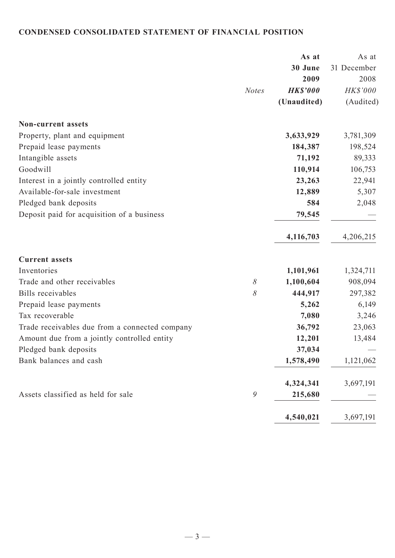# **CONDENSED CONSOLIDATED STATEMENT OF FINANCIAL POSITION**

|                                                |              | As at           | As at       |
|------------------------------------------------|--------------|-----------------|-------------|
|                                                |              | 30 June         | 31 December |
|                                                |              | 2009            | 2008        |
|                                                | <b>Notes</b> | <b>HK\$'000</b> | HK\$'000    |
|                                                |              | (Unaudited)     | (Audited)   |
| <b>Non-current assets</b>                      |              |                 |             |
| Property, plant and equipment                  |              | 3,633,929       | 3,781,309   |
| Prepaid lease payments                         |              | 184,387         | 198,524     |
| Intangible assets                              |              | 71,192          | 89,333      |
| Goodwill                                       |              | 110,914         | 106,753     |
| Interest in a jointly controlled entity        |              | 23,263          | 22,941      |
| Available-for-sale investment                  |              | 12,889          | 5,307       |
| Pledged bank deposits                          |              | 584             | 2,048       |
| Deposit paid for acquisition of a business     |              | 79,545          |             |
|                                                |              | 4,116,703       | 4,206,215   |
| <b>Current assets</b>                          |              |                 |             |
| Inventories                                    |              | 1,101,961       | 1,324,711   |
| Trade and other receivables                    | $\delta$     | 1,100,604       | 908,094     |
| <b>Bills</b> receivables                       | 8            | 444,917         | 297,382     |
| Prepaid lease payments                         |              | 5,262           | 6,149       |
| Tax recoverable                                |              | 7,080           | 3,246       |
| Trade receivables due from a connected company |              | 36,792          | 23,063      |
| Amount due from a jointly controlled entity    |              | 12,201          | 13,484      |
| Pledged bank deposits                          |              | 37,034          |             |
| Bank balances and cash                         |              | 1,578,490       | 1,121,062   |
|                                                |              | 4,324,341       | 3,697,191   |
| Assets classified as held for sale             | 9            | 215,680         |             |
|                                                |              | 4,540,021       | 3,697,191   |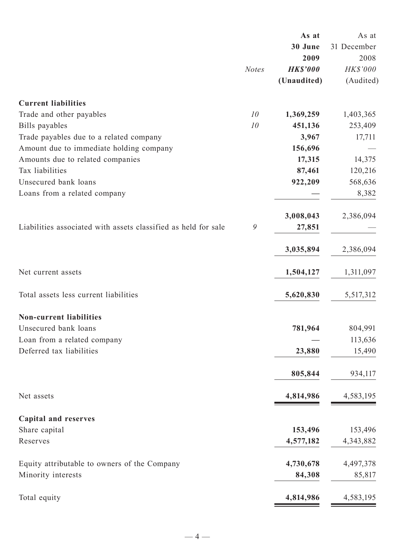|                                                                |              | As at           | As at       |
|----------------------------------------------------------------|--------------|-----------------|-------------|
|                                                                |              | 30 June         | 31 December |
|                                                                |              | 2009            | 2008        |
|                                                                | <b>Notes</b> | <b>HK\$'000</b> | HK\$'000    |
|                                                                |              | (Unaudited)     | (Audited)   |
| <b>Current liabilities</b>                                     |              |                 |             |
| Trade and other payables                                       | 10           | 1,369,259       | 1,403,365   |
| Bills payables                                                 | 10           | 451,136         | 253,409     |
| Trade payables due to a related company                        |              | 3,967           | 17,711      |
| Amount due to immediate holding company                        |              | 156,696         |             |
| Amounts due to related companies                               |              | 17,315          | 14,375      |
| Tax liabilities                                                |              | 87,461          | 120,216     |
| Unsecured bank loans                                           |              | 922,209         | 568,636     |
| Loans from a related company                                   |              |                 | 8,382       |
|                                                                |              | 3,008,043       | 2,386,094   |
| Liabilities associated with assets classified as held for sale | 9            | 27,851          |             |
|                                                                |              | 3,035,894       | 2,386,094   |
| Net current assets                                             |              | 1,504,127       | 1,311,097   |
| Total assets less current liabilities                          |              | 5,620,830       | 5,517,312   |
| <b>Non-current liabilities</b>                                 |              |                 |             |
| Unsecured bank loans                                           |              | 781,964         | 804,991     |
| Loan from a related company                                    |              |                 | 113,636     |
| Deferred tax liabilities                                       |              | 23,880          | 15,490      |
|                                                                |              | 805,844         | 934,117     |
| Net assets                                                     |              | 4,814,986       | 4,583,195   |
| <b>Capital and reserves</b>                                    |              |                 |             |
| Share capital                                                  |              | 153,496         | 153,496     |
| Reserves                                                       |              | 4,577,182       | 4,343,882   |
| Equity attributable to owners of the Company                   |              | 4,730,678       | 4,497,378   |
| Minority interests                                             |              | 84,308          | 85,817      |
| Total equity                                                   |              | 4,814,986       | 4,583,195   |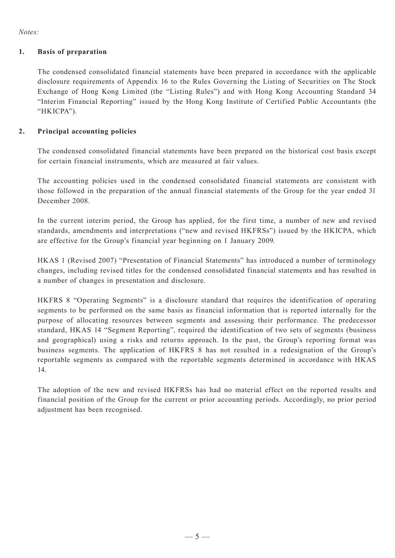*Notes:*

#### **1. Basis of preparation**

The condensed consolidated financial statements have been prepared in accordance with the applicable disclosure requirements of Appendix 16 to the Rules Governing the Listing of Securities on The Stock Exchange of Hong Kong Limited (the "Listing Rules") and with Hong Kong Accounting Standard 34 "Interim Financial Reporting" issued by the Hong Kong Institute of Certified Public Accountants (the "HKICPA").

#### **2. Principal accounting policies**

The condensed consolidated financial statements have been prepared on the historical cost basis except for certain financial instruments, which are measured at fair values.

The accounting policies used in the condensed consolidated financial statements are consistent with those followed in the preparation of the annual financial statements of the Group for the year ended 31 December 2008.

In the current interim period, the Group has applied, for the first time, a number of new and revised standards, amendments and interpretations ("new and revised HKFRSs") issued by the HKICPA, which are effective for the Group's financial year beginning on 1 January 2009.

HKAS 1 (Revised 2007) "Presentation of Financial Statements" has introduced a number of terminology changes, including revised titles for the condensed consolidated financial statements and has resulted in a number of changes in presentation and disclosure.

HKFRS 8 "Operating Segments" is a disclosure standard that requires the identification of operating segments to be performed on the same basis as financial information that is reported internally for the purpose of allocating resources between segments and assessing their performance. The predecessor standard, HKAS 14 "Segment Reporting", required the identification of two sets of segments (business and geographical) using a risks and returns approach. In the past, the Group's reporting format was business segments. The application of HKFRS 8 has not resulted in a redesignation of the Group's reportable segments as compared with the reportable segments determined in accordance with HKAS 14.

The adoption of the new and revised HKFRSs has had no material effect on the reported results and financial position of the Group for the current or prior accounting periods. Accordingly, no prior period adjustment has been recognised.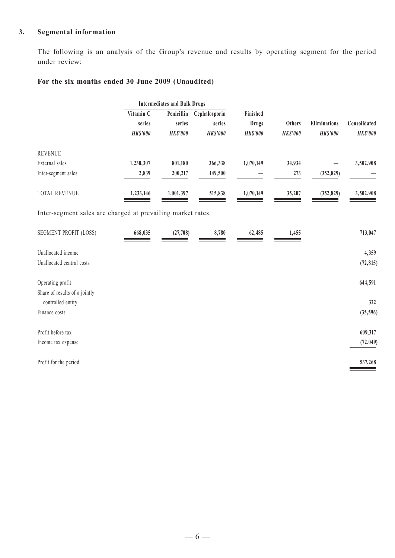## **3. Segmental information**

The following is an analysis of the Group's revenue and results by operating segment for the period under review:

## **For the six months ended 30 June 2009 (Unaudited)**

|                                                             |                 | <b>Intermediates and Bulk Drugs</b> |                 |                 |                 |                 |                 |
|-------------------------------------------------------------|-----------------|-------------------------------------|-----------------|-----------------|-----------------|-----------------|-----------------|
|                                                             | Vitamin C       | Penicillin                          | Cephalosporin   | Finished        |                 |                 |                 |
|                                                             | series          | series                              | series          | <b>Drugs</b>    | Others          | Eliminations    | Consolidated    |
|                                                             | <b>HK\$'000</b> | <b>HK\$'000</b>                     | <b>HK\$'000</b> | <b>HK\$'000</b> | <b>HK\$'000</b> | <b>HK\$'000</b> | <b>HK\$'000</b> |
| <b>REVENUE</b>                                              |                 |                                     |                 |                 |                 |                 |                 |
| External sales                                              | 1,230,307       | 801,180                             | 366,338         | 1,070,149       | 34,934          |                 | 3,502,908       |
| Inter-segment sales                                         | 2,839           | 200,217                             | 149,500         |                 | 273             | (352, 829)      |                 |
| TOTAL REVENUE                                               | 1,233,146       | 1,001,397                           | 515,838         | 1,070,149       | 35,207          | (352, 829)      | 3,502,908       |
| Inter-segment sales are charged at prevailing market rates. |                 |                                     |                 |                 |                 |                 |                 |
| SEGMENT PROFIT (LOSS)                                       | 668,035         | (27,708)                            | 8,780           | 62,485          | 1,455           |                 | 713,047         |
| Unallocated income                                          |                 |                                     |                 |                 |                 |                 | 4,359           |
| Unallocated central costs                                   |                 |                                     |                 |                 |                 |                 | (72, 815)       |
| Operating profit<br>Share of results of a jointly           |                 |                                     |                 |                 |                 |                 | 644,591         |
| controlled entity                                           |                 |                                     |                 |                 |                 |                 | 322             |
| Finance costs                                               |                 |                                     |                 |                 |                 |                 | (35,596)        |
| Profit before tax                                           |                 |                                     |                 |                 |                 |                 | 609,317         |
| Income tax expense                                          |                 |                                     |                 |                 |                 |                 | (72, 049)       |
| Profit for the period                                       |                 |                                     |                 |                 |                 |                 | 537,268         |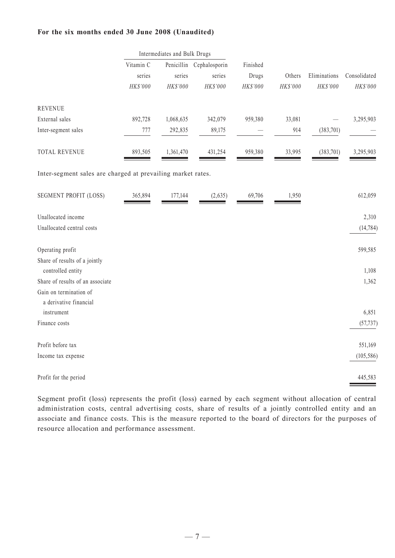#### **For the six months ended 30 June 2008 (Unaudited)**

|                                                             |           | Intermediates and Bulk Drugs |                          |          |            |              |              |
|-------------------------------------------------------------|-----------|------------------------------|--------------------------|----------|------------|--------------|--------------|
|                                                             | Vitamin C |                              | Penicillin Cephalosporin | Finished |            |              |              |
|                                                             | series    | series                       | series                   | Drugs    | Others     | Eliminations | Consolidated |
|                                                             | HK\$'000  | $HK\$ '000                   | $HK\$ $000$              | HK\$'000 | $HK\$ '000 | $HK\$ '000   | $HK\$ '000   |
| <b>REVENUE</b>                                              |           |                              |                          |          |            |              |              |
| External sales                                              | 892,728   | 1,068,635                    | 342,079                  | 959,380  | 33,081     |              | 3,295,903    |
| Inter-segment sales                                         | 777       | 292,835                      | 89,175                   |          | 914        | (383, 701)   |              |
| TOTAL REVENUE                                               | 893,505   | 1,361,470                    | 431,254                  | 959,380  | 33,995     | (383,701)    | 3,295,903    |
| Inter-segment sales are charged at prevailing market rates. |           |                              |                          |          |            |              |              |
| <b>SEGMENT PROFIT (LOSS)</b>                                | 365,894   | 177,144                      | (2,635)                  | 69,706   | 1,950      |              | 612,059      |
| Unallocated income                                          |           |                              |                          |          |            |              | 2,310        |
| Unallocated central costs                                   |           |                              |                          |          |            |              | (14, 784)    |
| Operating profit                                            |           |                              |                          |          |            |              | 599,585      |
| Share of results of a jointly                               |           |                              |                          |          |            |              |              |
| controlled entity                                           |           |                              |                          |          |            |              | 1,108        |
| Share of results of an associate                            |           |                              |                          |          |            |              | 1,362        |
| Gain on termination of                                      |           |                              |                          |          |            |              |              |
| a derivative financial<br>instrument                        |           |                              |                          |          |            |              | 6,851        |
| Finance costs                                               |           |                              |                          |          |            |              | (57, 737)    |
| Profit before tax                                           |           |                              |                          |          |            |              | 551,169      |
| Income tax expense                                          |           |                              |                          |          |            |              | (105, 586)   |
|                                                             |           |                              |                          |          |            |              |              |
| Profit for the period                                       |           |                              |                          |          |            |              | 445,583      |

Segment profit (loss) represents the profit (loss) earned by each segment without allocation of central administration costs, central advertising costs, share of results of a jointly controlled entity and an associate and finance costs. This is the measure reported to the board of directors for the purposes of resource allocation and performance assessment.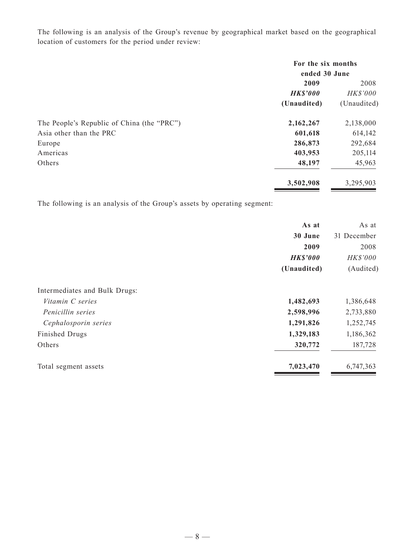The following is an analysis of the Group's revenue by geographical market based on the geographical location of customers for the period under review:

|                                            | For the six months<br>ended 30 June |             |
|--------------------------------------------|-------------------------------------|-------------|
|                                            | 2009                                | 2008        |
|                                            | <b>HK\$'000</b>                     | HK\$'000    |
|                                            | (Unaudited)                         | (Unaudited) |
| The People's Republic of China (the "PRC") | 2,162,267                           | 2,138,000   |
| Asia other than the PRC                    | 601,618                             | 614,142     |
| Europe                                     | 286,873                             | 292,684     |
| Americas                                   | 403,953                             | 205,114     |
| Others                                     | 48,197                              | 45,963      |
|                                            | 3,502,908                           | 3,295,903   |

The following is an analysis of the Group's assets by operating segment:

|                               | As at           | As at       |
|-------------------------------|-----------------|-------------|
|                               | 30 June         | 31 December |
|                               | 2009            | 2008        |
|                               | <b>HK\$'000</b> | HK\$'000    |
|                               | (Unaudited)     | (Audited)   |
| Intermediates and Bulk Drugs: |                 |             |
| Vitamin C series              | 1,482,693       | 1,386,648   |
| Penicillin series             | 2,598,996       | 2,733,880   |
| Cephalosporin series          | 1,291,826       | 1,252,745   |
| Finished Drugs                | 1,329,183       | 1,186,362   |
| Others                        | 320,772         | 187,728     |
| Total segment assets          | 7,023,470       | 6,747,363   |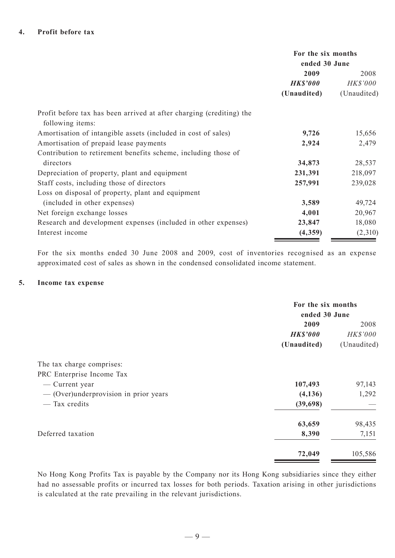|                                                                                          | For the six months<br>ended 30 June |             |  |
|------------------------------------------------------------------------------------------|-------------------------------------|-------------|--|
|                                                                                          | 2009                                | 2008        |  |
|                                                                                          | <b>HK\$'000</b>                     | HK\$'000    |  |
|                                                                                          | (Unaudited)                         | (Unaudited) |  |
| Profit before tax has been arrived at after charging (crediting) the<br>following items: |                                     |             |  |
| Amortisation of intangible assets (included in cost of sales)                            | 9,726                               | 15,656      |  |
| Amortisation of prepaid lease payments                                                   | 2,924                               | 2,479       |  |
| Contribution to retirement benefits scheme, including those of                           |                                     |             |  |
| directors                                                                                | 34,873                              | 28,537      |  |
| Depreciation of property, plant and equipment                                            | 231,391                             | 218,097     |  |
| Staff costs, including those of directors                                                | 257,991                             | 239,028     |  |
| Loss on disposal of property, plant and equipment                                        |                                     |             |  |
| (included in other expenses)                                                             | 3,589                               | 49,724      |  |
| Net foreign exchange losses                                                              | 4,001                               | 20,967      |  |
| Research and development expenses (included in other expenses)                           | 23,847                              | 18,080      |  |
| Interest income                                                                          | (4,359)                             | (2,310)     |  |

For the six months ended 30 June 2008 and 2009, cost of inventories recognised as an expense approximated cost of sales as shown in the condensed consolidated income statement.

#### **5. Income tax expense**

|                                         | For the six months |             |  |
|-----------------------------------------|--------------------|-------------|--|
|                                         | ended 30 June      |             |  |
|                                         | 2009               | 2008        |  |
|                                         | <b>HK\$'000</b>    | HK\$'000    |  |
|                                         | (Unaudited)        | (Unaudited) |  |
| The tax charge comprises:               |                    |             |  |
| PRC Enterprise Income Tax               |                    |             |  |
| — Current year                          | 107,493            | 97,143      |  |
| $-$ (Over)underprovision in prior years | (4,136)            | 1,292       |  |
| — Tax credits                           | (39,698)           |             |  |
|                                         | 63,659             | 98,435      |  |
| Deferred taxation                       | 8,390              | 7,151       |  |
|                                         | 72,049             | 105,586     |  |

No Hong Kong Profits Tax is payable by the Company nor its Hong Kong subsidiaries since they either had no assessable profits or incurred tax losses for both periods. Taxation arising in other jurisdictions is calculated at the rate prevailing in the relevant jurisdictions.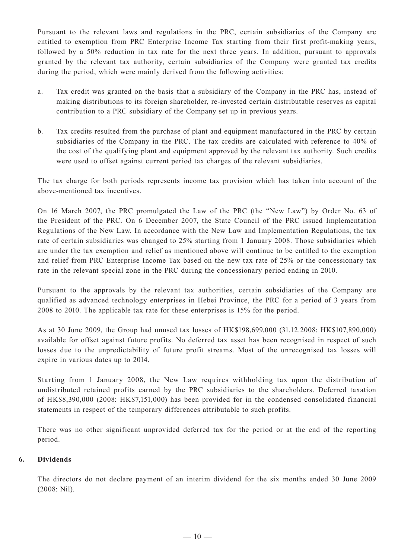Pursuant to the relevant laws and regulations in the PRC, certain subsidiaries of the Company are entitled to exemption from PRC Enterprise Income Tax starting from their first profit-making years, followed by a 50% reduction in tax rate for the next three years. In addition, pursuant to approvals granted by the relevant tax authority, certain subsidiaries of the Company were granted tax credits during the period, which were mainly derived from the following activities:

- a. Tax credit was granted on the basis that a subsidiary of the Company in the PRC has, instead of making distributions to its foreign shareholder, re-invested certain distributable reserves as capital contribution to a PRC subsidiary of the Company set up in previous years.
- b. Tax credits resulted from the purchase of plant and equipment manufactured in the PRC by certain subsidiaries of the Company in the PRC. The tax credits are calculated with reference to 40% of the cost of the qualifying plant and equipment approved by the relevant tax authority. Such credits were used to offset against current period tax charges of the relevant subsidiaries.

The tax charge for both periods represents income tax provision which has taken into account of the above-mentioned tax incentives.

On 16 March 2007, the PRC promulgated the Law of the PRC (the "New Law") by Order No. 63 of the President of the PRC. On 6 December 2007, the State Council of the PRC issued Implementation Regulations of the New Law. In accordance with the New Law and Implementation Regulations, the tax rate of certain subsidiaries was changed to 25% starting from 1 January 2008. Those subsidiaries which are under the tax exemption and relief as mentioned above will continue to be entitled to the exemption and relief from PRC Enterprise Income Tax based on the new tax rate of 25% or the concessionary tax rate in the relevant special zone in the PRC during the concessionary period ending in 2010.

Pursuant to the approvals by the relevant tax authorities, certain subsidiaries of the Company are qualified as advanced technology enterprises in Hebei Province, the PRC for a period of 3 years from 2008 to 2010. The applicable tax rate for these enterprises is 15% for the period.

As at 30 June 2009, the Group had unused tax losses of HK\$198,699,000 (31.12.2008: HK\$107,890,000) available for offset against future profits. No deferred tax asset has been recognised in respect of such losses due to the unpredictability of future profit streams. Most of the unrecognised tax losses will expire in various dates up to 2014.

Starting from 1 January 2008, the New Law requires withholding tax upon the distribution of undistributed retained profits earned by the PRC subsidiaries to the shareholders. Deferred taxation of HK\$8,390,000 (2008: HK\$7,151,000) has been provided for in the condensed consolidated financial statements in respect of the temporary differences attributable to such profits.

There was no other significant unprovided deferred tax for the period or at the end of the reporting period.

#### **6. Dividends**

The directors do not declare payment of an interim dividend for the six months ended 30 June 2009 (2008: Nil).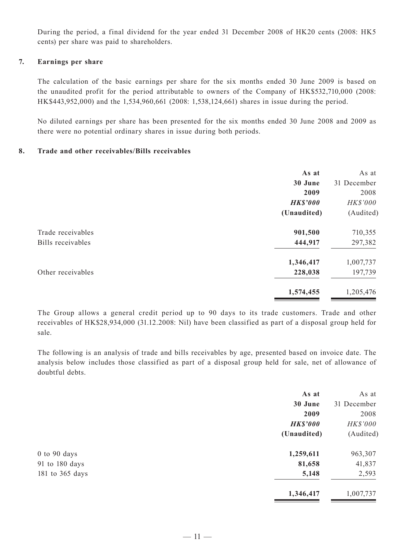During the period, a final dividend for the year ended 31 December 2008 of HK20 cents (2008: HK5 cents) per share was paid to shareholders.

#### **7. Earnings per share**

The calculation of the basic earnings per share for the six months ended 30 June 2009 is based on the unaudited profit for the period attributable to owners of the Company of HK\$532,710,000 (2008: HK\$443,952,000) and the 1,534,960,661 (2008: 1,538,124,661) shares in issue during the period.

No diluted earnings per share has been presented for the six months ended 30 June 2008 and 2009 as there were no potential ordinary shares in issue during both periods.

#### **8. Trade and other receivables/Bills receivables**

|                                        | As at<br>30 June<br>2009       | As at<br>31 December<br>2008 |
|----------------------------------------|--------------------------------|------------------------------|
|                                        | <b>HK\$'000</b><br>(Unaudited) | HK\$'000<br>(Audited)        |
| Trade receivables<br>Bills receivables | 901,500<br>444,917             | 710,355<br>297,382           |
| Other receivables                      | 1,346,417<br>228,038           | 1,007,737<br>197,739         |
|                                        | 1,574,455                      | 1,205,476                    |

The Group allows a general credit period up to 90 days to its trade customers. Trade and other receivables of HK\$28,934,000 (31.12.2008: Nil) have been classified as part of a disposal group held for sale.

The following is an analysis of trade and bills receivables by age, presented based on invoice date. The analysis below includes those classified as part of a disposal group held for sale, net of allowance of doubtful debts.

|                 | As at           | As at       |
|-----------------|-----------------|-------------|
|                 | 30 June         | 31 December |
|                 | 2009            | 2008        |
|                 | <b>HK\$'000</b> | HK\$'000    |
|                 | (Unaudited)     | (Audited)   |
| 0 to 90 days    | 1,259,611       | 963,307     |
| 91 to 180 days  | 81,658          | 41,837      |
| 181 to 365 days | 5,148           | 2,593       |
|                 | 1,346,417       | 1,007,737   |
|                 |                 |             |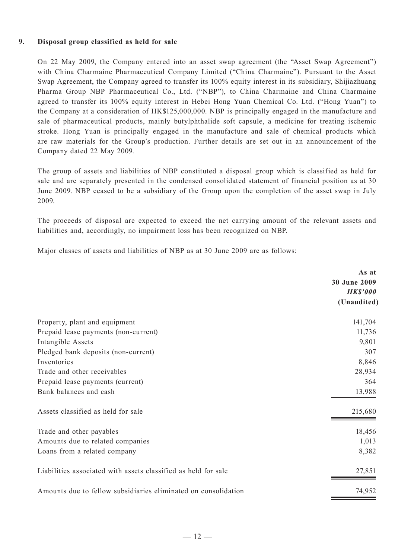#### **9. Disposal group classified as held for sale**

On 22 May 2009, the Company entered into an asset swap agreement (the "Asset Swap Agreement") with China Charmaine Pharmaceutical Company Limited ("China Charmaine"). Pursuant to the Asset Swap Agreement, the Company agreed to transfer its 100% equity interest in its subsidiary, Shijiazhuang Pharma Group NBP Pharmaceutical Co., Ltd. ("NBP"), to China Charmaine and China Charmaine agreed to transfer its 100% equity interest in Hebei Hong Yuan Chemical Co. Ltd. ("Hong Yuan") to the Company at a consideration of HK\$125,000,000. NBP is principally engaged in the manufacture and sale of pharmaceutical products, mainly butylphthalide soft capsule, a medicine for treating ischemic stroke. Hong Yuan is principally engaged in the manufacture and sale of chemical products which are raw materials for the Group's production. Further details are set out in an announcement of the Company dated 22 May 2009.

The group of assets and liabilities of NBP constituted a disposal group which is classified as held for sale and are separately presented in the condensed consolidated statement of financial position as at 30 June 2009. NBP ceased to be a subsidiary of the Group upon the completion of the asset swap in July 2009.

The proceeds of disposal are expected to exceed the net carrying amount of the relevant assets and liabilities and, accordingly, no impairment loss has been recognized on NBP.

Major classes of assets and liabilities of NBP as at 30 June 2009 are as follows:

|                                                                | As at<br>30 June 2009<br><b>HK\$'000</b><br>(Unaudited) |
|----------------------------------------------------------------|---------------------------------------------------------|
| Property, plant and equipment                                  | 141,704                                                 |
| Prepaid lease payments (non-current)                           | 11,736                                                  |
| Intangible Assets                                              | 9,801                                                   |
| Pledged bank deposits (non-current)                            | 307                                                     |
| Inventories                                                    | 8,846                                                   |
| Trade and other receivables                                    | 28,934                                                  |
| Prepaid lease payments (current)                               | 364                                                     |
| Bank balances and cash                                         | 13,988                                                  |
| Assets classified as held for sale                             | 215,680                                                 |
| Trade and other payables                                       | 18,456                                                  |
| Amounts due to related companies                               | 1,013                                                   |
| Loans from a related company                                   | 8,382                                                   |
| Liabilities associated with assets classified as held for sale | 27,851                                                  |
| Amounts due to fellow subsidiaries eliminated on consolidation | 74,952                                                  |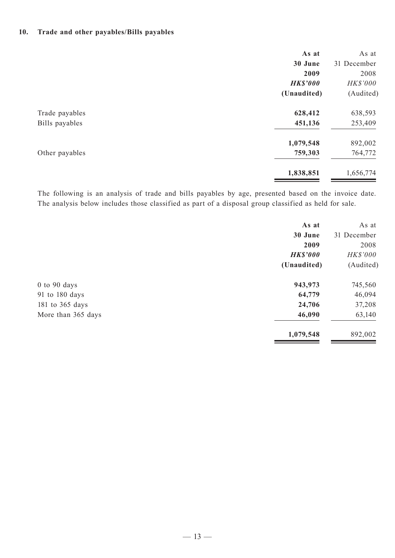#### **10. Trade and other payables/Bills payables**

| As at           | As at       |
|-----------------|-------------|
| 30 June         | 31 December |
| 2009            | 2008        |
| <b>HK\$'000</b> | HK\$'000    |
| (Unaudited)     | (Audited)   |
| 628,412         | 638,593     |
| 451,136         | 253,409     |
| 1,079,548       | 892,002     |
| 759,303         | 764,772     |
| 1,838,851       | 1,656,774   |
|                 |             |

The following is an analysis of trade and bills payables by age, presented based on the invoice date. The analysis below includes those classified as part of a disposal group classified as held for sale.

|                    | As at           | As at       |
|--------------------|-----------------|-------------|
|                    | 30 June         | 31 December |
|                    | 2009            | 2008        |
|                    | <b>HK\$'000</b> | HK\$'000    |
|                    | (Unaudited)     | (Audited)   |
| $0$ to $90$ days   | 943,973         | 745,560     |
| 91 to 180 days     | 64,779          | 46,094      |
| 181 to 365 days    | 24,706          | 37,208      |
| More than 365 days | 46,090          | 63,140      |
|                    | 1,079,548       | 892,002     |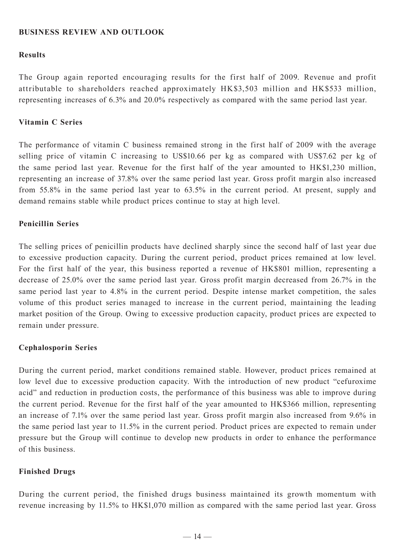### **BUSINESS REVIEW AND OUTLOOK**

#### **Results**

The Group again reported encouraging results for the first half of 2009. Revenue and profit attributable to shareholders reached approximately HK\$3,503 million and HK\$533 million, representing increases of 6.3% and 20.0% respectively as compared with the same period last year.

#### **Vitamin C Series**

The performance of vitamin C business remained strong in the first half of 2009 with the average selling price of vitamin C increasing to US\$10.66 per kg as compared with US\$7.62 per kg of the same period last year. Revenue for the first half of the year amounted to HK\$1,230 million, representing an increase of 37.8% over the same period last year. Gross profit margin also increased from 55.8% in the same period last year to 63.5% in the current period. At present, supply and demand remains stable while product prices continue to stay at high level.

#### **Penicillin Series**

The selling prices of penicillin products have declined sharply since the second half of last year due to excessive production capacity. During the current period, product prices remained at low level. For the first half of the year, this business reported a revenue of HK\$801 million, representing a decrease of 25.0% over the same period last year. Gross profit margin decreased from 26.7% in the same period last year to 4.8% in the current period. Despite intense market competition, the sales volume of this product series managed to increase in the current period, maintaining the leading market position of the Group. Owing to excessive production capacity, product prices are expected to remain under pressure.

#### **Cephalosporin Series**

During the current period, market conditions remained stable. However, product prices remained at low level due to excessive production capacity. With the introduction of new product "cefuroxime" acid" and reduction in production costs, the performance of this business was able to improve during the current period. Revenue for the first half of the year amounted to HK\$366 million, representing an increase of 7.1% over the same period last year. Gross profit margin also increased from 9.6% in the same period last year to 11.5% in the current period. Product prices are expected to remain under pressure but the Group will continue to develop new products in order to enhance the performance of this business.

#### **Finished Drugs**

During the current period, the finished drugs business maintained its growth momentum with revenue increasing by 11.5% to HK\$1,070 million as compared with the same period last year. Gross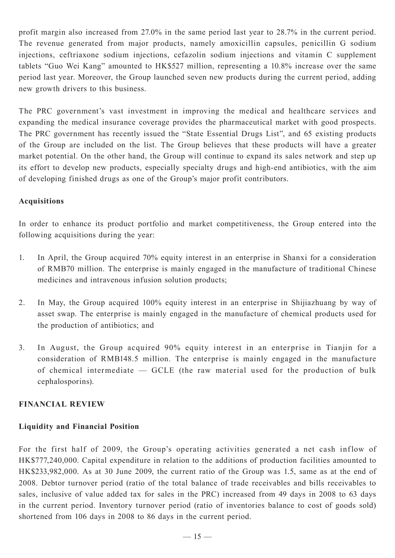profit margin also increased from 27.0% in the same period last year to 28.7% in the current period. The revenue generated from major products, namely amoxicillin capsules, penicillin G sodium injections, ceftriaxone sodium injections, cefazolin sodium injections and vitamin C supplement tablets "Guo Wei Kang" amounted to HK\$527 million, representing a 10.8% increase over the same period last year. Moreover, the Group launched seven new products during the current period, adding new growth drivers to this business.

The PRC government's vast investment in improving the medical and healthcare services and expanding the medical insurance coverage provides the pharmaceutical market with good prospects. The PRC government has recently issued the "State Essential Drugs List", and 65 existing products of the Group are included on the list. The Group believes that these products will have a greater market potential. On the other hand, the Group will continue to expand its sales network and step up its effort to develop new products, especially specialty drugs and high-end antibiotics, with the aim of developing finished drugs as one of the Group's major profit contributors.

## **Acquisitions**

In order to enhance its product portfolio and market competitiveness, the Group entered into the following acquisitions during the year:

- 1. In April, the Group acquired 70% equity interest in an enterprise in Shanxi for a consideration of RMB70 million. The enterprise is mainly engaged in the manufacture of traditional Chinese medicines and intravenous infusion solution products;
- 2. In May, the Group acquired 100% equity interest in an enterprise in Shijiazhuang by way of asset swap. The enterprise is mainly engaged in the manufacture of chemical products used for the production of antibiotics; and
- 3. In August, the Group acquired 90% equity interest in an enterprise in Tianjin for a consideration of RMB148.5 million. The enterprise is mainly engaged in the manufacture of chemical intermediate — GCLE (the raw material used for the production of bulk cephalosporins).

### **FINANCIAL REVIEW**

## **Liquidity and Financial Position**

For the first half of 2009, the Group's operating activities generated a net cash inflow of HK\$777,240,000. Capital expenditure in relation to the additions of production facilities amounted to HK\$233,982,000. As at 30 June 2009, the current ratio of the Group was 1.5, same as at the end of 2008. Debtor turnover period (ratio of the total balance of trade receivables and bills receivables to sales, inclusive of value added tax for sales in the PRC) increased from 49 days in 2008 to 63 days in the current period. Inventory turnover period (ratio of inventories balance to cost of goods sold) shortened from 106 days in 2008 to 86 days in the current period.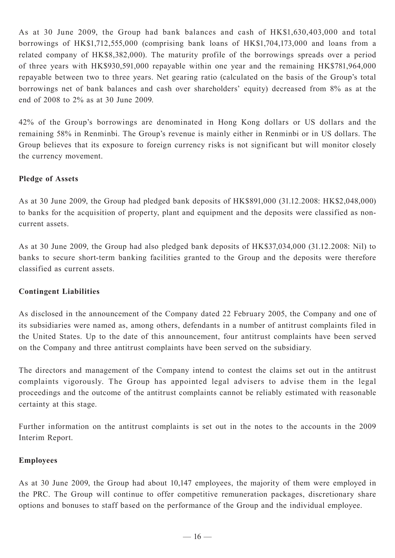As at 30 June 2009, the Group had bank balances and cash of HK\$1,630,403,000 and total borrowings of HK\$1,712,555,000 (comprising bank loans of HK\$1,704,173,000 and loans from a related company of HK\$8,382,000). The maturity profile of the borrowings spreads over a period of three years with HK\$930,591,000 repayable within one year and the remaining HK\$781,964,000 repayable between two to three years. Net gearing ratio (calculated on the basis of the Group's total borrowings net of bank balances and cash over shareholders' equity) decreased from 8% as at the end of 2008 to 2% as at 30 June 2009.

42% of the Group's borrowings are denominated in Hong Kong dollars or US dollars and the remaining 58% in Renminbi. The Group's revenue is mainly either in Renminbi or in US dollars. The Group believes that its exposure to foreign currency risks is not significant but will monitor closely the currency movement.

## **Pledge of Assets**

As at 30 June 2009, the Group had pledged bank deposits of HK\$891,000 (31.12.2008: HK\$2,048,000) to banks for the acquisition of property, plant and equipment and the deposits were classified as noncurrent assets.

As at 30 June 2009, the Group had also pledged bank deposits of HK\$37,034,000 (31.12.2008: Nil) to banks to secure short-term banking facilities granted to the Group and the deposits were therefore classified as current assets.

## **Contingent Liabilities**

As disclosed in the announcement of the Company dated 22 February 2005, the Company and one of its subsidiaries were named as, among others, defendants in a number of antitrust complaints filed in the United States. Up to the date of this announcement, four antitrust complaints have been served on the Company and three antitrust complaints have been served on the subsidiary.

The directors and management of the Company intend to contest the claims set out in the antitrust complaints vigorously. The Group has appointed legal advisers to advise them in the legal proceedings and the outcome of the antitrust complaints cannot be reliably estimated with reasonable certainty at this stage.

Further information on the antitrust complaints is set out in the notes to the accounts in the 2009 Interim Report.

#### **Employees**

As at 30 June 2009, the Group had about 10,147 employees, the majority of them were employed in the PRC. The Group will continue to offer competitive remuneration packages, discretionary share options and bonuses to staff based on the performance of the Group and the individual employee.